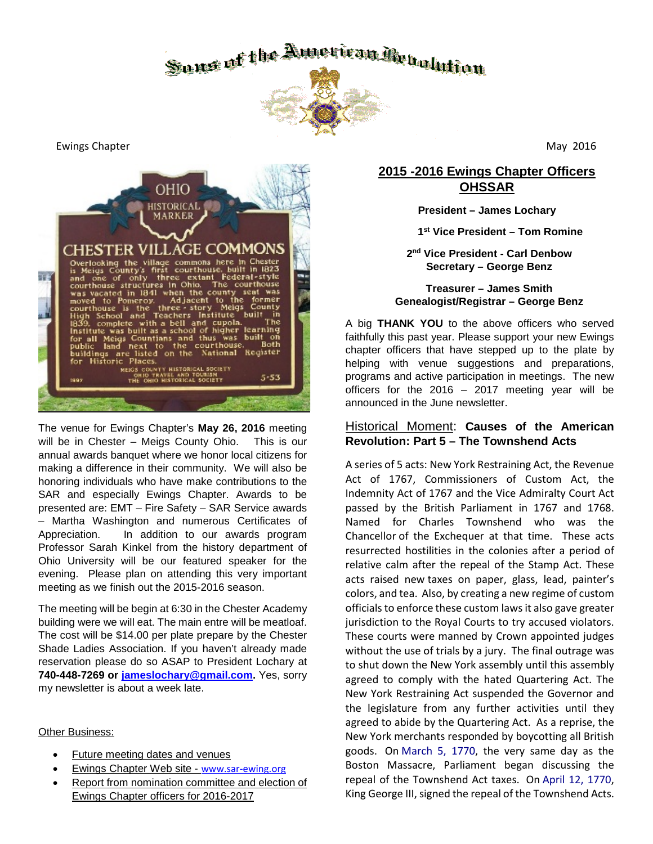

Ewings Chapter **May 2016** 2016



The venue for Ewings Chapter's **May 26, 2016** meeting will be in Chester – Meigs County Ohio. This is our annual awards banquet where we honor local citizens for making a difference in their community. We will also be honoring individuals who have make contributions to the SAR and especially Ewings Chapter. Awards to be presented are: EMT – Fire Safety – SAR Service awards – Martha Washington and numerous Certificates of Appreciation. In addition to our awards program Professor Sarah Kinkel from the history department of Ohio University will be our featured speaker for the evening. Please plan on attending this very important meeting as we finish out the 2015-2016 season.

The meeting will be begin at 6:30 in the Chester Academy building were we will eat. The main entre will be meatloaf. The cost will be \$14.00 per plate prepare by the Chester Shade Ladies Association. If you haven't already made reservation please do so ASAP to President Lochary at **740-448-7269 or [jameslochary@gmail.com.](mailto:jameslochary@gmail.com)** Yes, sorry my newsletter is about a week late.

#### Other Business:

- Future meeting dates and venues
- Ewings Chapter Web site [www.sar-ewing.org](http://www.sar-ewing.org/)
- Report from nomination committee and election of Ewings Chapter officers for 2016-2017

# **2015 -2016 Ewings Chapter Officers OHSSAR**

**President – James Lochary** 

 **1st Vice President – Tom Romine**

**2nd Vice President - Carl Denbow Secretary – George Benz**

### **Treasurer – James Smith Genealogist/Registrar – George Benz**

A big **THANK YOU** to the above officers who served faithfully this past year. Please support your new Ewings chapter officers that have stepped up to the plate by helping with venue suggestions and preparations, programs and active participation in meetings. The new officers for the  $2016 - 2017$  meeting year will be announced in the June newsletter.

## Historical Moment: **Causes of the American Revolution: Part 5 – The Townshend Acts**

A series of 5 acts: New York Restraining Act, the Revenue Act of 1767, Commissioners of Custom Act, the Indemnity Act of 1767 and the Vice Admiralty Court Act passed by the British Parliament in 1767 and 1768. Named for Charles Townshend who was the Chancellor of the Exchequer at that time. These acts resurrected hostilities in the colonies after a period of relative calm after the repeal of the Stamp Act. These acts raised new taxes on paper, glass, lead, painter's colors, and tea. Also, by creating a new regime of custom officials to enforce these custom laws it also gave greater jurisdiction to the Royal Courts to try accused violators. These courts were manned by Crown appointed judges without the use of trials by a jury. The final outrage was to shut down the New York assembly until this assembly agreed to comply with the hated Quartering Act. The New York Restraining Act suspended the Governor and the legislature from any further activities until they agreed to abide by the Quartering Act. As a reprise, the New York merchants responded by boycotting all British goods. On March 5, 1770, the very same day as the Boston Massacre, Parliament began discussing the repeal of the Townshend Act taxes. On April 12, 1770, King George III, signed the repeal of the Townshend Acts.